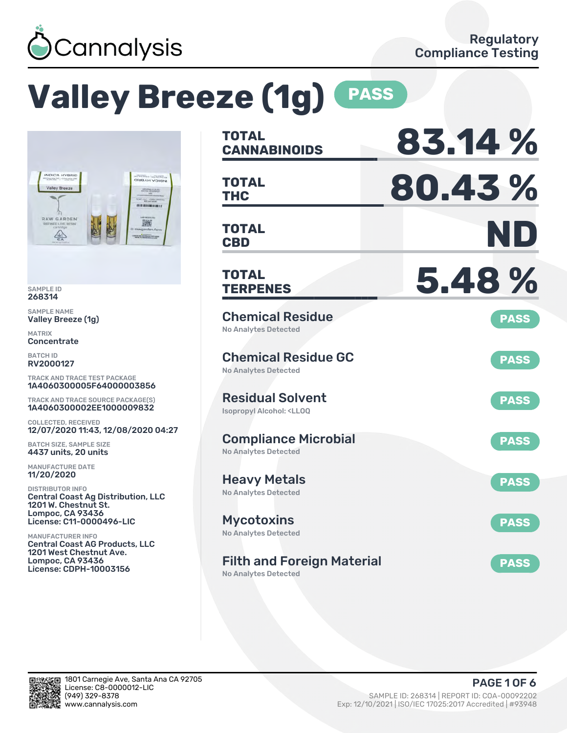

# **Valley Breeze (1g) PASS**



SAMPLE ID 268314

SAMPLE NAME Valley Breeze (1g)

MATRIX **Concentrate** 

BATCH ID RV2000127

TRACK AND TRACE TEST PACKAGE 1A4060300005F64000003856

TRACK AND TRACE SOURCE PACKAGE(S) 1A4060300002EE1000009832

COLLECTED, RECEIVED 12/07/2020 11:43, 12/08/2020 04:27

BATCH SIZE, SAMPLE SIZE 4437 units, 20 units

MANUFACTURE DATE 11/20/2020

DISTRIBUTOR INFO Central Coast Ag Distribution, LLC 1201 W. Chestnut St. Lompoc, CA 93436 License: C11-0000496-LIC

MANUFACTURER INFO Central Coast AG Products, LLC 1201 West Chestnut Ave. Lompoc, CA 93436 License: CDPH-10003156

| <b>TOTAL</b><br><b>CANNABINOIDS</b>                                       | 83.14%      |
|---------------------------------------------------------------------------|-------------|
| <b>TOTAL</b><br>THC                                                       | 80.43%      |
| <b>TOTAL</b><br><b>CBD</b>                                                | ND          |
| <b>TOTAL</b><br><b>TERPENES</b>                                           | 5.48%       |
| <b>Chemical Residue</b><br><b>No Analytes Detected</b>                    | <b>PASS</b> |
| <b>Chemical Residue GC</b><br><b>No Analytes Detected</b>                 | <b>PASS</b> |
| <b>Residual Solvent</b><br><b>Isopropyl Alcohol: <lloq< b=""></lloq<></b> | <b>PASS</b> |
| <b>Compliance Microbial</b><br><b>No Analytes Detected</b>                | <b>PASS</b> |
| <b>Heavy Metals</b><br><b>No Analytes Detected</b>                        | <b>PASS</b> |
| <b>Mycotoxins</b><br>No Analytes Detected                                 | <b>PASS</b> |
| <b>Filth and Foreign Material</b><br>No Analytes Detected                 | <b>PASS</b> |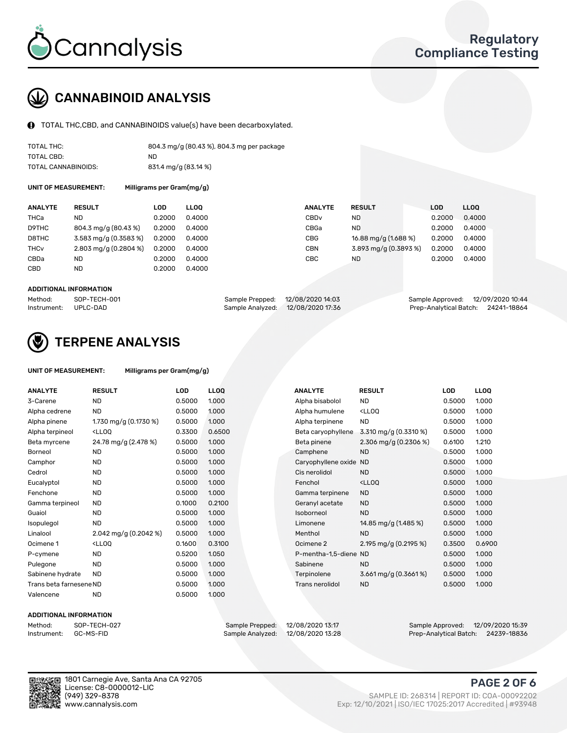

## CANNABINOID ANALYSIS

TOTAL THC,CBD, and CANNABINOIDS value(s) have been decarboxylated.

| TOTAL THC:          | 804.3 mg/g (80.43 %), 804.3 mg per package |
|---------------------|--------------------------------------------|
| TOTAL CBD:          | ND.                                        |
| TOTAL CANNABINOIDS: | 831.4 mg/g (83.14 %)                       |

UNIT OF MEASUREMENT: Milligrams per Gram(mg/g)

| <b>ANALYTE</b>         | <b>RESULT</b>                      | LOD    | <b>LLOO</b> | <b>ANALYTE</b>   | <b>RESULT</b>         | LOD    | LL <sub>00</sub> |
|------------------------|------------------------------------|--------|-------------|------------------|-----------------------|--------|------------------|
| THCa                   | ND                                 | 0.2000 | 0.4000      | CBD <sub>v</sub> | ND.                   | 0.2000 | 0.4000           |
| D9THC                  | 804.3 mg/g (80.43 %)               | 0.2000 | 0.4000      | CBGa             | ND.                   | 0.2000 | 0.4000           |
| D8THC                  | $3.583 \,\mathrm{mq/q}$ (0.3583 %) | 0.2000 | 0.4000      | CBG              | 16.88 mg/g (1.688 %)  | 0.2000 | 0.4000           |
| <b>THC<sub>v</sub></b> | $2.803 \,\mathrm{mq/q}$ (0.2804 %) | 0.2000 | 0.4000      | CBN              | 3.893 mg/g (0.3893 %) | 0.2000 | 0.4000           |
| CBDa                   | ND.                                | 0.2000 | 0.4000      | CBC              | ND.                   | 0.2000 | 0.4000           |
| CBD                    | <b>ND</b>                          | 0.2000 | 0.4000      |                  |                       |        |                  |

#### ADDITIONAL INFORMATION

| Method:              | SOP-TECH-001 | Sample Prepped: 12/08/2020 14:03  | Sample Approved: 12/09/2020 10:44  |  |
|----------------------|--------------|-----------------------------------|------------------------------------|--|
| Instrument: UPLC-DAD |              | Sample Analyzed: 12/08/2020 17:36 | Prep-Analytical Batch: 24241-18864 |  |



## TERPENE ANALYSIS

| UNIT OF MEASUREMENT: | Milligrams per Gram(mg/g) |
|----------------------|---------------------------|
|                      |                           |

| <b>ANALYTE</b>          | <b>RESULT</b>                                                                                                                             | <b>LOD</b> | LLOQ   | <b>ANALYTE</b>         | <b>RESULT</b>                                      | <b>LOD</b> | <b>LLOO</b> |
|-------------------------|-------------------------------------------------------------------------------------------------------------------------------------------|------------|--------|------------------------|----------------------------------------------------|------------|-------------|
| 3-Carene                | <b>ND</b>                                                                                                                                 | 0.5000     | 1.000  | Alpha bisabolol        | <b>ND</b>                                          | 0.5000     | 1.000       |
| Alpha cedrene           | <b>ND</b>                                                                                                                                 | 0.5000     | 1.000  | Alpha humulene         | <ll0q< td=""><td>0.5000</td><td>1.000</td></ll0q<> | 0.5000     | 1.000       |
| Alpha pinene            | 1.730 mg/g (0.1730 %)                                                                                                                     | 0.5000     | 1.000  | Alpha terpinene        | <b>ND</b>                                          | 0.5000     | 1.000       |
| Alpha terpineol         | <ll0q< td=""><td>0.3300</td><td>0.6500</td><td>Beta caryophyllene</td><td>3.310 mg/g (0.3310 %)</td><td>0.5000</td><td>1.000</td></ll0q<> | 0.3300     | 0.6500 | Beta caryophyllene     | 3.310 mg/g (0.3310 %)                              | 0.5000     | 1.000       |
| Beta myrcene            | 24.78 mg/g (2.478 %)                                                                                                                      | 0.5000     | 1.000  | Beta pinene            | 2.306 mg/g $(0.2306\%)$                            | 0.6100     | 1.210       |
| <b>Borneol</b>          | <b>ND</b>                                                                                                                                 | 0.5000     | 1.000  | Camphene               | <b>ND</b>                                          | 0.5000     | 1.000       |
| Camphor                 | <b>ND</b>                                                                                                                                 | 0.5000     | 1.000  | Caryophyllene oxide ND |                                                    | 0.5000     | 1.000       |
| Cedrol                  | <b>ND</b>                                                                                                                                 | 0.5000     | 1.000  | Cis nerolidol          | <b>ND</b>                                          | 0.5000     | 1.000       |
| Eucalyptol              | <b>ND</b>                                                                                                                                 | 0.5000     | 1.000  | Fenchol                | <lloq< td=""><td>0.5000</td><td>1.000</td></lloq<> | 0.5000     | 1.000       |
| Fenchone                | <b>ND</b>                                                                                                                                 | 0.5000     | 1.000  | Gamma terpinene        | <b>ND</b>                                          | 0.5000     | 1.000       |
| Gamma terpineol         | <b>ND</b>                                                                                                                                 | 0.1000     | 0.2100 | Geranyl acetate        | <b>ND</b>                                          | 0.5000     | 1.000       |
| Guaiol                  | <b>ND</b>                                                                                                                                 | 0.5000     | 1.000  | Isoborneol             | <b>ND</b>                                          | 0.5000     | 1.000       |
| Isopulegol              | <b>ND</b>                                                                                                                                 | 0.5000     | 1.000  | Limonene               | 14.85 mg/g (1.485 %)                               | 0.5000     | 1.000       |
| Linalool                | 2.042 mg/g $(0.2042\%)$                                                                                                                   | 0.5000     | 1.000  | Menthol                | <b>ND</b>                                          | 0.5000     | 1.000       |
| Ocimene 1               | <lloq< td=""><td>0.1600</td><td>0.3100</td><td>Ocimene 2</td><td>2.195 mg/g (0.2195 %)</td><td>0.3500</td><td>0.6900</td></lloq<>         | 0.1600     | 0.3100 | Ocimene 2              | 2.195 mg/g (0.2195 %)                              | 0.3500     | 0.6900      |
| P-cymene                | <b>ND</b>                                                                                                                                 | 0.5200     | 1.050  | P-mentha-1,5-diene ND  |                                                    | 0.5000     | 1.000       |
| Pulegone                | <b>ND</b>                                                                                                                                 | 0.5000     | 1.000  | Sabinene               | <b>ND</b>                                          | 0.5000     | 1.000       |
| Sabinene hydrate        | <b>ND</b>                                                                                                                                 | 0.5000     | 1.000  | Terpinolene            | $3.661$ mg/g $(0.3661\%)$                          | 0.5000     | 1.000       |
| Trans beta farnesene ND |                                                                                                                                           | 0.5000     | 1.000  | Trans nerolidol        | <b>ND</b>                                          | 0.5000     | 1.000       |
| Valencene               | <b>ND</b>                                                                                                                                 | 0.5000     | 1.000  |                        |                                                    |            |             |

#### ADDITIONAL INFORMATION

Method: SOP-TECH-027 Sample Prepped: 12/08/2020 13:17 Sample Approved: 12/09/2020 15:39 Prep-Analytical Batch: 24239-18836



1801 Carnegie Ave, Santa Ana CA 92705 License: C8-0000012-LIC<br>(949) 329-8378

### PAGE 2 OF 6

(949) 329-8378 SAMPLE ID: 268314 | REPORT ID: COA-00092202 Exp: 12/10/2021 | ISO/IEC 17025:2017 Accredited | #93948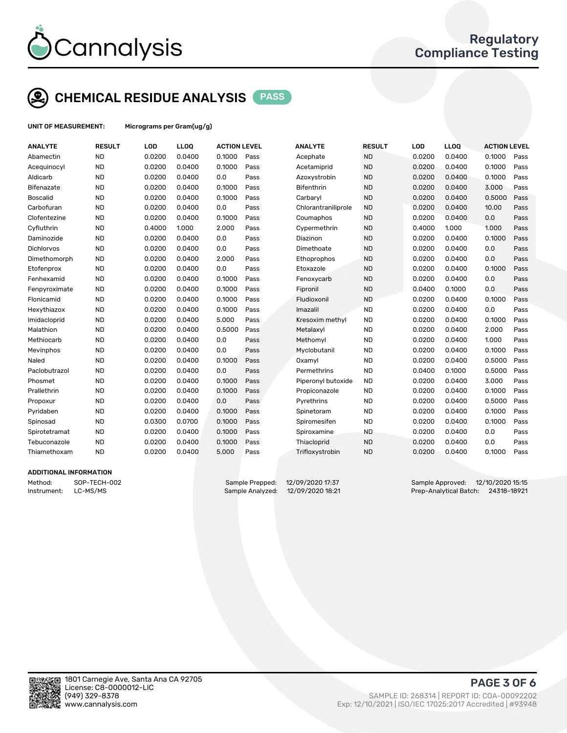

## CHEMICAL RESIDUE ANALYSIS PASS

UNIT OF MEASUREMENT: Micrograms per Gram(ug/g)

| <b>ANALYTE</b>                | <b>RESULT</b> | LOD    | <b>LLOQ</b> | <b>ACTION LEVEL</b> |      | <b>ANALYTE</b>      | <b>RESULT</b> | LOD    | <b>LLOQ</b> | <b>ACTION LEVEL</b> |      |
|-------------------------------|---------------|--------|-------------|---------------------|------|---------------------|---------------|--------|-------------|---------------------|------|
| Abamectin                     | <b>ND</b>     | 0.0200 | 0.0400      | 0.1000              | Pass | Acephate            | <b>ND</b>     | 0.0200 | 0.0400      | 0.1000              | Pass |
| Acequinocyl                   | <b>ND</b>     | 0.0200 | 0.0400      | 0.1000              | Pass | Acetamiprid         | <b>ND</b>     | 0.0200 | 0.0400      | 0.1000              | Pass |
| Aldicarb                      | <b>ND</b>     | 0.0200 | 0.0400      | 0.0                 | Pass | Azoxystrobin        | <b>ND</b>     | 0.0200 | 0.0400      | 0.1000              | Pass |
| Bifenazate                    | <b>ND</b>     | 0.0200 | 0.0400      | 0.1000              | Pass | <b>Bifenthrin</b>   | <b>ND</b>     | 0.0200 | 0.0400      | 3.000               | Pass |
| <b>Boscalid</b>               | <b>ND</b>     | 0.0200 | 0.0400      | 0.1000              | Pass | Carbaryl            | <b>ND</b>     | 0.0200 | 0.0400      | 0.5000              | Pass |
| Carbofuran                    | <b>ND</b>     | 0.0200 | 0.0400      | 0.0                 | Pass | Chlorantraniliprole | <b>ND</b>     | 0.0200 | 0.0400      | 10.00               | Pass |
| Clofentezine                  | <b>ND</b>     | 0.0200 | 0.0400      | 0.1000              | Pass | Coumaphos           | <b>ND</b>     | 0.0200 | 0.0400      | 0.0                 | Pass |
| Cyfluthrin                    | <b>ND</b>     | 0.4000 | 1.000       | 2.000               | Pass | Cypermethrin        | <b>ND</b>     | 0.4000 | 1.000       | 1.000               | Pass |
| Daminozide                    | <b>ND</b>     | 0.0200 | 0.0400      | 0.0                 | Pass | Diazinon            | <b>ND</b>     | 0.0200 | 0.0400      | 0.1000              | Pass |
| Dichlorvos                    | <b>ND</b>     | 0.0200 | 0.0400      | 0.0                 | Pass | Dimethoate          | <b>ND</b>     | 0.0200 | 0.0400      | 0.0                 | Pass |
| Dimethomorph                  | <b>ND</b>     | 0.0200 | 0.0400      | 2.000               | Pass | Ethoprophos         | <b>ND</b>     | 0.0200 | 0.0400      | 0.0                 | Pass |
| Etofenprox                    | <b>ND</b>     | 0.0200 | 0.0400      | 0.0                 | Pass | Etoxazole           | <b>ND</b>     | 0.0200 | 0.0400      | 0.1000              | Pass |
| Fenhexamid                    | <b>ND</b>     | 0.0200 | 0.0400      | 0.1000              | Pass | Fenoxycarb          | <b>ND</b>     | 0.0200 | 0.0400      | 0.0                 | Pass |
| Fenpyroximate                 | <b>ND</b>     | 0.0200 | 0.0400      | 0.1000              | Pass | Fipronil            | <b>ND</b>     | 0.0400 | 0.1000      | 0.0                 | Pass |
| Flonicamid                    | <b>ND</b>     | 0.0200 | 0.0400      | 0.1000              | Pass | Fludioxonil         | <b>ND</b>     | 0.0200 | 0.0400      | 0.1000              | Pass |
| Hexythiazox                   | <b>ND</b>     | 0.0200 | 0.0400      | 0.1000              | Pass | Imazalil            | <b>ND</b>     | 0.0200 | 0.0400      | 0.0                 | Pass |
| Imidacloprid                  | <b>ND</b>     | 0.0200 | 0.0400      | 5.000               | Pass | Kresoxim methyl     | <b>ND</b>     | 0.0200 | 0.0400      | 0.1000              | Pass |
| Malathion                     | <b>ND</b>     | 0.0200 | 0.0400      | 0.5000              | Pass | Metalaxyl           | <b>ND</b>     | 0.0200 | 0.0400      | 2.000               | Pass |
| Methiocarb                    | <b>ND</b>     | 0.0200 | 0.0400      | 0.0                 | Pass | Methomyl            | <b>ND</b>     | 0.0200 | 0.0400      | 1.000               | Pass |
| Mevinphos                     | <b>ND</b>     | 0.0200 | 0.0400      | 0.0                 | Pass | Myclobutanil        | <b>ND</b>     | 0.0200 | 0.0400      | 0.1000              | Pass |
| Naled                         | <b>ND</b>     | 0.0200 | 0.0400      | 0.1000              | Pass | Oxamyl              | <b>ND</b>     | 0.0200 | 0.0400      | 0.5000              | Pass |
| Paclobutrazol                 | <b>ND</b>     | 0.0200 | 0.0400      | 0.0                 | Pass | Permethrins         | <b>ND</b>     | 0.0400 | 0.1000      | 0.5000              | Pass |
| Phosmet                       | <b>ND</b>     | 0.0200 | 0.0400      | 0.1000              | Pass | Piperonyl butoxide  | <b>ND</b>     | 0.0200 | 0.0400      | 3.000               | Pass |
| Prallethrin                   | <b>ND</b>     | 0.0200 | 0.0400      | 0.1000              | Pass | Propiconazole       | <b>ND</b>     | 0.0200 | 0.0400      | 0.1000              | Pass |
| Propoxur                      | <b>ND</b>     | 0.0200 | 0.0400      | 0.0                 | Pass | Pyrethrins          | <b>ND</b>     | 0.0200 | 0.0400      | 0.5000              | Pass |
| Pyridaben                     | <b>ND</b>     | 0.0200 | 0.0400      | 0.1000              | Pass | Spinetoram          | <b>ND</b>     | 0.0200 | 0.0400      | 0.1000              | Pass |
| Spinosad                      | <b>ND</b>     | 0.0300 | 0.0700      | 0.1000              | Pass | Spiromesifen        | <b>ND</b>     | 0.0200 | 0.0400      | 0.1000              | Pass |
| Spirotetramat                 | <b>ND</b>     | 0.0200 | 0.0400      | 0.1000              | Pass | Spiroxamine         | <b>ND</b>     | 0.0200 | 0.0400      | 0.0                 | Pass |
| Tebuconazole                  | <b>ND</b>     | 0.0200 | 0.0400      | 0.1000              | Pass | Thiacloprid         | <b>ND</b>     | 0.0200 | 0.0400      | 0.0                 | Pass |
| Thiamethoxam                  | <b>ND</b>     | 0.0200 | 0.0400      | 5.000               | Pass | Trifloxystrobin     | <b>ND</b>     | 0.0200 | 0.0400      | 0.1000              | Pass |
| <b>ADDITIONAL INFORMATION</b> |               |        |             |                     |      |                     |               |        |             |                     |      |

Method: SOP-TECH-002 Sample Prepped: 12/09/2020 17:37 Sample Approved: 12/10/2020 15:15 Instrument: LC-MS/MS Sample Analyzed: 12/09/2020 18:21 Prep-Analytical Batch: 24318-18921



PAGE 3 OF 6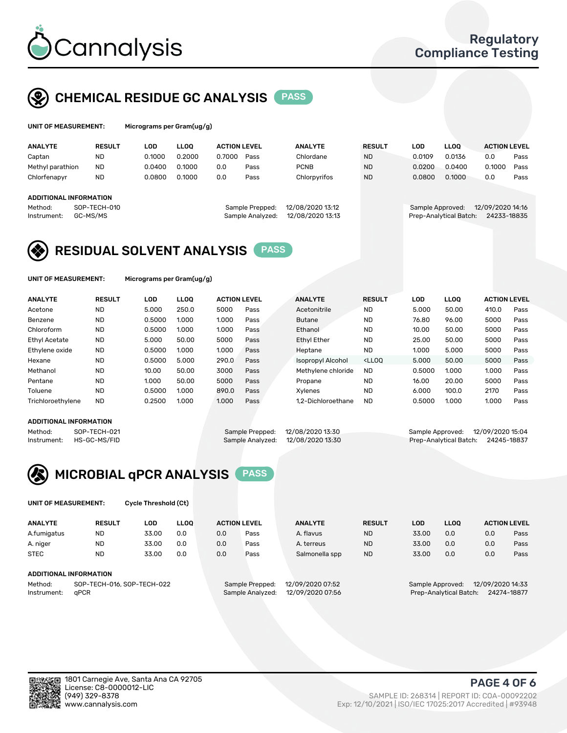

## CHEMICAL RESIDUE GC ANALYSIS PASS

grams per Gram(ug/g)

| <b>ANALYTE</b>                | <b>RESULT</b> | LOD    | <b>LLOO</b> | <b>ACTION LEVEL</b> |                  | <b>ANALYTE</b>   | <b>RESULT</b> | <b>LOD</b>       | <b>LLOO</b>            | <b>ACTION LEVEL</b> |      |
|-------------------------------|---------------|--------|-------------|---------------------|------------------|------------------|---------------|------------------|------------------------|---------------------|------|
| Captan                        | <b>ND</b>     | 0.1000 | 0.2000      | 0.7000              | Pass             | Chlordane        | <b>ND</b>     | 0.0109           | 0.0136                 | 0.0                 | Pass |
| Methyl parathion              | <b>ND</b>     | 0.0400 | 0.1000      | 0.0                 | Pass             | <b>PCNB</b>      | <b>ND</b>     | 0.0200           | 0.0400                 | 0.1000              | Pass |
| Chlorfenapyr                  | <b>ND</b>     | 0.0800 | 0.1000      | 0.0                 | Pass             | Chlorpyrifos     | <b>ND</b>     | 0.0800           | 0.1000                 | 0.0                 | Pass |
|                               |               |        |             |                     |                  |                  |               |                  |                        |                     |      |
| <b>ADDITIONAL INFORMATION</b> |               |        |             |                     |                  |                  |               |                  |                        |                     |      |
| Method:                       | SOP-TECH-010  |        |             |                     | Sample Prepped:  | 12/08/2020 13:12 |               | Sample Approved: |                        | 12/09/2020 14:16    |      |
| Instrument:                   | GC-MS/MS      |        |             |                     | Sample Analyzed: | 12/08/2020 13:13 |               |                  | Prep-Analytical Batch: | 24233-18835         |      |
|                               |               |        |             |                     |                  |                  |               |                  |                        |                     |      |

## RESIDUAL SOLVENT ANALYSIS PASS

UNIT OF MEASUREMENT: Micrograms per Gram(ug/g)

| <b>ANALYTE</b>    | <b>RESULT</b> | LOD    | <b>LLOO</b> | <b>ACTION LEVEL</b> |      | <b>ANALYTE</b>     | <b>RESULT</b>                                                               | <b>LOD</b> | <b>LLOO</b> | <b>ACTION LEVEL</b> |      |
|-------------------|---------------|--------|-------------|---------------------|------|--------------------|-----------------------------------------------------------------------------|------------|-------------|---------------------|------|
| Acetone           | <b>ND</b>     | 5.000  | 250.0       | 5000                | Pass | Acetonitrile       | <b>ND</b>                                                                   | 5.000      | 50.00       | 410.0               | Pass |
| Benzene           | <b>ND</b>     | 0.5000 | 1.000       | 1.000               | Pass | <b>Butane</b>      | <b>ND</b>                                                                   | 76.80      | 96.00       | 5000                | Pass |
| Chloroform        | <b>ND</b>     | 0.5000 | 1.000       | 1.000               | Pass | Ethanol            | <b>ND</b>                                                                   | 10.00      | 50.00       | 5000                | Pass |
| Ethyl Acetate     | <b>ND</b>     | 5.000  | 50.00       | 5000                | Pass | Ethyl Ether        | <b>ND</b>                                                                   | 25.00      | 50.00       | 5000                | Pass |
| Ethylene oxide    | <b>ND</b>     | 0.5000 | 1.000       | 1.000               | Pass | Heptane            | <b>ND</b>                                                                   | 1.000      | 5.000       | 5000                | Pass |
| Hexane            | <b>ND</b>     | 0.5000 | 5.000       | 290.0               | Pass | Isopropyl Alcohol  | <lloo< td=""><td>5.000</td><td>50.00</td><td>5000</td><td>Pass</td></lloo<> | 5.000      | 50.00       | 5000                | Pass |
| Methanol          | <b>ND</b>     | 10.00  | 50.00       | 3000                | Pass | Methylene chloride | <b>ND</b>                                                                   | 0.5000     | 1.000       | 1.000               | Pass |
| Pentane           | <b>ND</b>     | 1.000  | 50.00       | 5000                | Pass | Propane            | <b>ND</b>                                                                   | 16.00      | 20.00       | 5000                | Pass |
| Toluene           | <b>ND</b>     | 0.5000 | 1.000       | 890.0               | Pass | Xvlenes            | <b>ND</b>                                                                   | 6.000      | 100.0       | 2170                | Pass |
| Trichloroethylene | <b>ND</b>     | 0.2500 | 1.000       | 1.000               | Pass | 1.2-Dichloroethane | <b>ND</b>                                                                   | 0.5000     | 1.000       | 1.000               | Pass |
|                   |               |        |             |                     |      |                    |                                                                             |            |             |                     |      |

#### ADDITIONAL INFORMATION

Method: SOP-TECH-021 Sample Prepped: 12/08/2020 13:30 Sample Approved: 12/09/2020 15:04<br>Instrument: HS-GC-MS/FID Sample Analyzed: 12/08/2020 13:30 Prep-Analytical Batch: 24245-18837

Prep-Analytical Batch: 24245-18837



UNIT OF MEASUREMENT: Cycle Threshold (Ct)

| <b>ANALYTE</b>                        | <b>RESULT</b>          | LOD   | <b>LLOO</b> | <b>ACTION LEVEL</b> |                 | <b>ANALYTE</b>   | <b>RESULT</b> | LOD              | <b>LLOO</b> |                  | <b>ACTION LEVEL</b> |
|---------------------------------------|------------------------|-------|-------------|---------------------|-----------------|------------------|---------------|------------------|-------------|------------------|---------------------|
| A.fumigatus                           | <b>ND</b>              | 33.00 | 0.0         | 0.0                 | Pass            | A. flavus        | <b>ND</b>     | 33.00            | 0.0         | 0.0              | Pass                |
| A. niger                              | <b>ND</b>              | 33.00 | 0.0         | 0.0                 | Pass            | A. terreus       | <b>ND</b>     | 33.00            | 0.0         | 0.0              | Pass                |
| <b>STEC</b>                           | <b>ND</b>              | 33.00 | 0.0         | 0.0                 | Pass            | Salmonella spp   | <b>ND</b>     | 33.00            | 0.0         | 0.0              | Pass                |
|                                       | ADDITIONAL INFORMATION |       |             |                     |                 |                  |               |                  |             |                  |                     |
| SOP-TECH-016, SOP-TECH-022<br>Method: |                        |       |             |                     | Sample Prepped: | 12/09/2020 07:52 |               | Sample Approved: |             | 12/09/2020 14:33 |                     |

Instrument: qPCR Sample Analyzed: 12/09/2020 07:56 Prep-Analytical Batch: 24274-18877

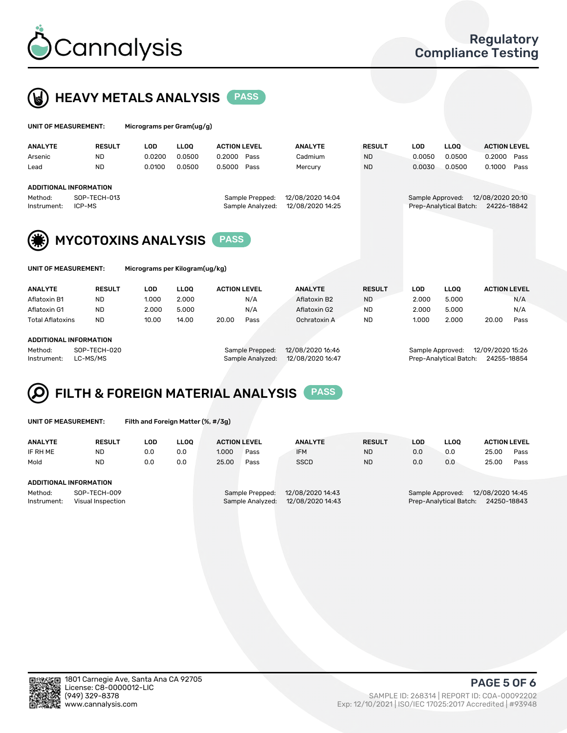



| UNIT OF MEASUREMENT: |               |        | Micrograms per Gram(ug/g) |                     |  |                |               |        |             |                     |      |  |  |  |
|----------------------|---------------|--------|---------------------------|---------------------|--|----------------|---------------|--------|-------------|---------------------|------|--|--|--|
| ANALYTE              | <b>RESULT</b> | LOD    | <b>LLOO</b>               | <b>ACTION LEVEL</b> |  | <b>ANALYTE</b> | <b>RESULT</b> | LOD    | <b>LLOO</b> | <b>ACTION LEVEL</b> |      |  |  |  |
| Arsenic              | <b>ND</b>     | 0.0200 | 0.0500                    | 0.2000 Pass         |  | Cadmium        | <b>ND</b>     | 0.0050 | 0.0500      | 0.2000 Pass         |      |  |  |  |
| Lead                 | <b>ND</b>     | 0.0100 | 0.0500                    | 0.5000 Pass         |  | Mercury        | <b>ND</b>     | 0.0030 | 0.0500      | 0.1000              | Pass |  |  |  |

#### ADDITIONAL INFORMATION

Method: SOP-TECH-013 Sample Prepped: 12/08/2020 14:04 Sample Approved: 12/08/2020 20:10 Instrument: ICP-MS Sample Analyzed: 12/08/2020 14:25 Prep-Analytical Batch: 24226-18842

MYCOTOXINS ANALYSIS PASS

| UNIT OF MEASUREM |  |  |  |
|------------------|--|--|--|

IENT: Micrograms per Kilogram(ug/kg)

| <b>ANALYTE</b>          | <b>RESULT</b> | LOD   | <b>LLOO</b> | <b>ACTION LEVEL</b> |      | <b>ANALYTE</b> | <b>RESULT</b> | LOD   | <b>LLOO</b> | <b>ACTION LEVEL</b> |      |
|-------------------------|---------------|-------|-------------|---------------------|------|----------------|---------------|-------|-------------|---------------------|------|
| Aflatoxin B1            | <b>ND</b>     | 1.000 | 2.000       |                     | N/A  | Aflatoxin B2   | <b>ND</b>     | 2.000 | 5.000       |                     | N/A  |
| Aflatoxin G1            | <b>ND</b>     | 2.000 | 5.000       |                     | N/A  | Aflatoxin G2   | <b>ND</b>     | 2.000 | 5.000       |                     | N/A  |
| <b>Total Aflatoxins</b> | <b>ND</b>     | 10.00 | 14.00       | 20.00               | Pass | Ochratoxin A   | <b>ND</b>     | 1.000 | 2.000       | 20.00               | Pass |
|                         |               |       |             |                     |      |                |               |       |             |                     |      |

#### ADDITIONAL INFORMATION

Method: SOP-TECH-020 Sample Prepped: 12/08/2020 16:46 Sample Approved: 12/09/2020 15:26 Instrument: LC-MS/MS Sample Analyzed: 12/08/2020 16:47 Prep-Analytical Batch: 24255-18854

# FILTH & FOREIGN MATERIAL ANALYSIS PASS

UNIT OF MEASUREMENT: Filth and Foreign Matter (%, #/3g)

| <b>ANALYTE</b>                                              | <b>RESULT</b> | LOD | <b>LLOO</b> | <b>ACTION LEVEL</b> |                                     | <b>ANALYTE</b>                       | <b>RESULT</b> | LOD | <b>LLOO</b>                                | <b>ACTION LEVEL</b>             |      |
|-------------------------------------------------------------|---------------|-----|-------------|---------------------|-------------------------------------|--------------------------------------|---------------|-----|--------------------------------------------|---------------------------------|------|
| IF RH ME                                                    | <b>ND</b>     | 0.0 | 0.0         | 1.000               | Pass                                | <b>IFM</b>                           | <b>ND</b>     | 0.0 | 0.0                                        | 25.00                           | Pass |
| Mold                                                        | <b>ND</b>     | 0.0 | 0.0         | 25.00               | Pass                                | <b>SSCD</b>                          | <b>ND</b>     | 0.0 | 0.0                                        | 25.00                           | Pass |
| ADDITIONAL INFORMATION                                      |               |     |             |                     |                                     |                                      |               |     |                                            |                                 |      |
| SOP-TECH-009<br>Method:<br>Instrument:<br>Visual Inspection |               |     |             |                     | Sample Prepped:<br>Sample Analyzed: | 12/08/2020 14:43<br>12/08/2020 14:43 |               |     | Sample Approved:<br>Prep-Analytical Batch: | 12/08/2020 14:45<br>24250-18843 |      |



PAGE 5 OF 6